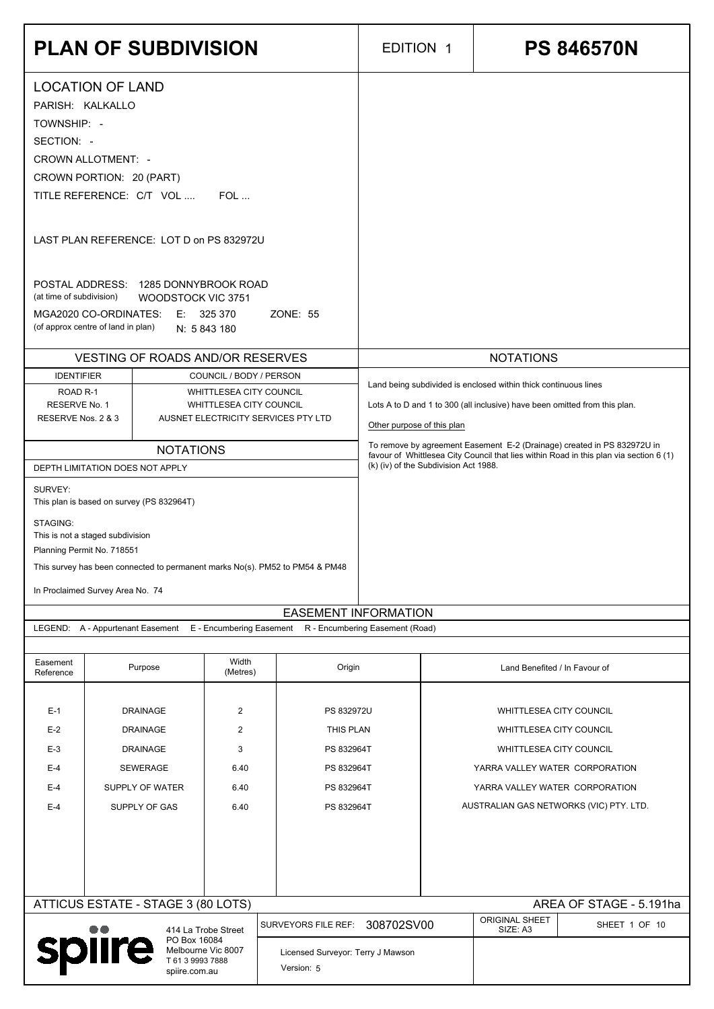|                                          | <b>PLAN OF SUBDIVISION</b>                                                                                                           |                                                    |                                     | <b>EDITION 1</b>                      | <b>PS 846570N</b>                                                                                                                                                 |
|------------------------------------------|--------------------------------------------------------------------------------------------------------------------------------------|----------------------------------------------------|-------------------------------------|---------------------------------------|-------------------------------------------------------------------------------------------------------------------------------------------------------------------|
|                                          | <b>LOCATION OF LAND</b><br>PARISH: KALKALLO                                                                                          |                                                    |                                     |                                       |                                                                                                                                                                   |
| TOWNSHIP: -<br>SECTION: -                |                                                                                                                                      |                                                    |                                     |                                       |                                                                                                                                                                   |
|                                          | <b>CROWN ALLOTMENT: -</b><br>CROWN PORTION: 20 (PART)                                                                                |                                                    |                                     |                                       |                                                                                                                                                                   |
|                                          | TITLE REFERENCE: C/T VOL                                                                                                             | $FOL$                                              |                                     |                                       |                                                                                                                                                                   |
|                                          | LAST PLAN REFERENCE: LOT D on PS 832972U                                                                                             |                                                    |                                     |                                       |                                                                                                                                                                   |
| (at time of subdivision)                 | POSTAL ADDRESS: 1285 DONNYBROOK ROAD<br>WOODSTOCK VIC 3751<br>MGA2020 CO-ORDINATES: E: 325 370<br>(of approx centre of land in plan) | N: 5 843 180                                       | <b>ZONE: 55</b>                     |                                       |                                                                                                                                                                   |
|                                          | <b>VESTING OF ROADS AND/OR RESERVES</b>                                                                                              |                                                    |                                     |                                       | <b>NOTATIONS</b>                                                                                                                                                  |
| <b>IDENTIFIER</b><br>ROAD <sub>R-1</sub> |                                                                                                                                      | COUNCIL / BODY / PERSON<br>WHITTLESEA CITY COUNCIL |                                     |                                       | Land being subdivided is enclosed within thick continuous lines                                                                                                   |
| RESERVE No. 1<br>RESERVE Nos. 2 & 3      |                                                                                                                                      | WHITTLESEA CITY COUNCIL                            | AUSNET ELECTRICITY SERVICES PTY LTD | Other purpose of this plan            | Lots A to D and 1 to 300 (all inclusive) have been omitted from this plan.                                                                                        |
|                                          | <b>NOTATIONS</b><br>DEPTH LIMITATION DOES NOT APPLY                                                                                  |                                                    |                                     | (k) (iv) of the Subdivision Act 1988. | To remove by agreement Easement E-2 (Drainage) created in PS 832972U in<br>favour of Whittlesea City Council that lies within Road in this plan via section 6 (1) |
| SURVEY:                                  | This plan is based on survey (PS 832964T)                                                                                            |                                                    |                                     |                                       |                                                                                                                                                                   |
| STAGING:                                 | This is not a staged subdivision<br>Planning Permit No. 718551                                                                       |                                                    |                                     |                                       |                                                                                                                                                                   |
|                                          | This survey has been connected to permanent marks No(s). PM52 to PM54 & PM48                                                         |                                                    |                                     |                                       |                                                                                                                                                                   |
|                                          | In Proclaimed Survey Area No. 74                                                                                                     |                                                    | <b>EASEMENT INFORMATION</b>         |                                       |                                                                                                                                                                   |
|                                          | LEGEND: A - Appurtenant Easement                                                                                                     | E - Encumbering Easement                           |                                     | R - Encumbering Easement (Road)       |                                                                                                                                                                   |
| Easement<br>Reference                    | Purpose                                                                                                                              | Width<br>(Metres)                                  | Origin                              |                                       | Land Benefited / In Favour of                                                                                                                                     |
| $E-1$                                    | <b>DRAINAGE</b>                                                                                                                      | $\overline{2}$                                     | PS 832972U                          |                                       | WHITTLESEA CITY COUNCIL                                                                                                                                           |
| $E-2$<br>$E-3$                           | <b>DRAINAGE</b><br><b>DRAINAGE</b>                                                                                                   | $\overline{2}$<br>$\mathfrak{B}$                   | THIS PLAN<br>PS 832964T             |                                       | <b>WHITTLESEA CITY COUNCIL</b><br>WHITTLESEA CITY COUNCIL                                                                                                         |
| $E-4$                                    | <b>SEWERAGE</b>                                                                                                                      | 6.40                                               | PS 832964T                          |                                       | YARRA VALLEY WATER CORPORATION                                                                                                                                    |
| $E-4$                                    | SUPPLY OF WATER                                                                                                                      | 6.40                                               | PS 832964T                          |                                       | YARRA VALLEY WATER CORPORATION                                                                                                                                    |
| $E-4$                                    | SUPPLY OF GAS                                                                                                                        | 6.40                                               | PS 832964T                          |                                       | AUSTRALIAN GAS NETWORKS (VIC) PTY. LTD.                                                                                                                           |
|                                          |                                                                                                                                      |                                                    |                                     |                                       |                                                                                                                                                                   |
|                                          |                                                                                                                                      |                                                    |                                     |                                       |                                                                                                                                                                   |
|                                          | ATTICUS ESTATE - STAGE 3 (80 LOTS)                                                                                                   |                                                    | SURVEYORS FILE REF:                 | 308702SV00                            | AREA OF STAGE - 5.191ha<br>ORIGINAL SHEET<br>SHEET 1 OF 10                                                                                                        |
|                                          | PO Box 16084<br>spiire                                                                                                               | 414 La Trobe Street<br>Melbourne Vic 8007          | Licensed Surveyor: Terry J Mawson   |                                       | SIZE: A3                                                                                                                                                          |
|                                          | spiire.com.au                                                                                                                        | T 61 3 9993 7888                                   | Version: 5                          |                                       |                                                                                                                                                                   |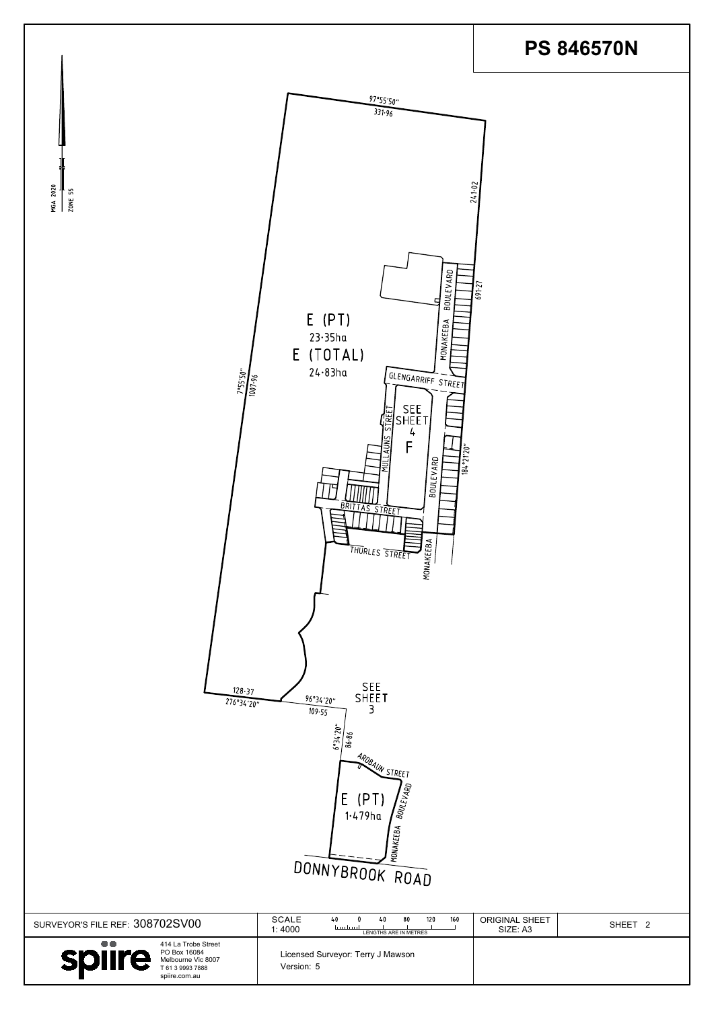

| SURVEYOR'S FILE REF: 308702SV00                                                                                 | <b>SCALE</b><br>160<br>120<br>80<br>40<br>ليسلسينا<br>1:4000<br>LENGTHS ARE IN METRES | <b>ORIGINAL SHEET</b><br>SHEET <sub>2</sub><br>SIZE: A3 |
|-----------------------------------------------------------------------------------------------------------------|---------------------------------------------------------------------------------------|---------------------------------------------------------|
| 414 La Trobe Street<br>PO Box 16084<br><b>Splire</b><br>Melbourne Vic 8007<br>T 61 3 9993 7888<br>spiire.com.au | Licensed Surveyor: Terry J Mawson<br>Version: 5                                       |                                                         |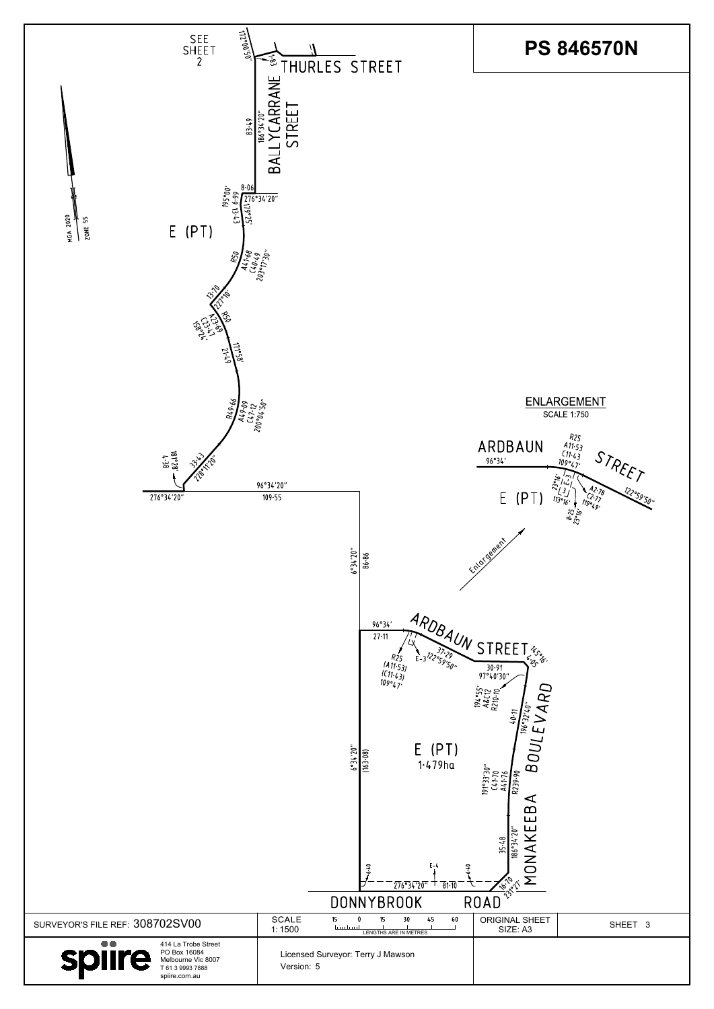|                                                                                                                              | $\frac{1}{2}$<br>1·479ha<br>$E - 4$<br>6.40<br>776934720<br>$\overline{81}$<br><b>DONNYBROOK</b> | $\begin{array}{c}\n 191°33'30'' \\ \hline\n 641.70 \\ \hline\n 141.76 \\ \hline\n 18239.90\n \end{array}$<br>$\infty$<br>$\Omega$<br>ட<br>ш<br>$\mathcal{S}$<br>∞<br>$35 - 41$<br>بما<br>$186^\circ$<br>◅<br>$6 - 1$<br>^ه.<br>- 73<br><b>ROAD</b> |         |
|------------------------------------------------------------------------------------------------------------------------------|--------------------------------------------------------------------------------------------------|----------------------------------------------------------------------------------------------------------------------------------------------------------------------------------------------------------------------------------------------------|---------|
| SURVEYOR'S FILE REF: 308702SV00                                                                                              | <b>SCALE</b><br>45<br>60<br>15<br>15<br>30<br>يسلسينا<br>1:1500<br>LENGTHS ARE IN METRES         | <b>ORIGINAL SHEET</b><br>SIZE: A3                                                                                                                                                                                                                  | SHEET 3 |
| $\bullet\bullet$<br>414 La Trobe Street<br>PO Box 16084<br>spiire<br>Melbourne Vic 8007<br>T 61 3 9993 7888<br>spiire.com.au | Licensed Surveyor: Terry J Mawson<br>Version: 5                                                  |                                                                                                                                                                                                                                                    |         |

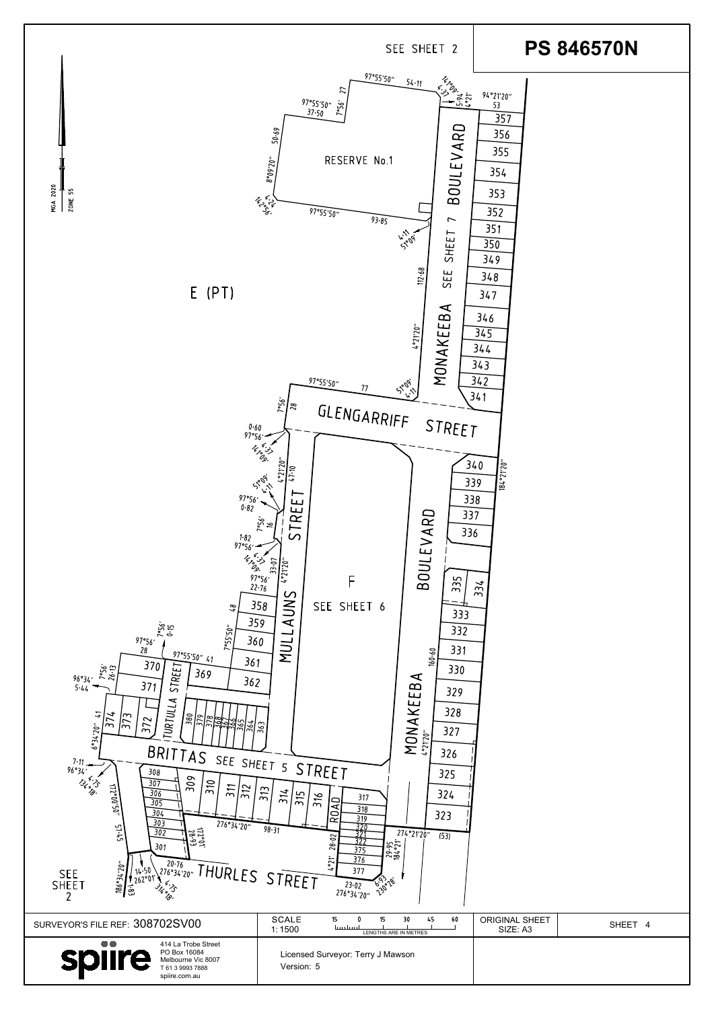| <b>URTUL</b><br>1<br>$\sqrt{374}$<br>$\sqrt{373}$<br>$\frac{1}{2}\left \frac{1}{2}\frac{1}{2}\right \frac{1}{2}\left \frac{1}{2}\frac{1}{2}\frac{1}{2}\frac{1}{2}\frac{1}{2}\frac{1}{2}\frac{1}{2}\frac{1}{2}\frac{1}{2}\frac{1}{2}\frac{1}{2}\frac{1}{2}\frac{1}{2}\frac{1}{2}\frac{1}{2}\frac{1}{2}\frac{1}{2}\frac{1}{2}\frac{1}{2}\frac{1}{2}\frac{1}{2}\frac{1}{2}\frac{1}{2}\frac{1}{2}\frac{1}{2}\frac{1}{2}\frac{1}{2}\frac{1}{2}\frac{1}{2}\frac{1}{2}\frac{1}{2}\frac{1$<br>372<br>027,76,99<br>BRITTAS SEE SHEET 5 STREET<br>7.11<br>96°34'<br>309<br>13 x 35<br>307<br>310<br>311<br>172°00'50"<br>$\sqrt{312}$<br>306<br>305<br>304<br>303<br>276°34'20"<br>$\frac{51.45}{5}$<br>302<br>$rac{25}{28.21}$<br>301<br>20.76 PHURLES STREET<br>$-0.7756699$<br>$14.50$<br>262°01'<br><b>SEE</b><br>374.35<br><b>SHEET</b><br>$\frac{1}{3}$ | MOMAR<br>3Z8<br>327<br>326<br>325<br>$\overline{313}$<br>314<br>324<br>$\frac{1}{2}$<br>316<br>317<br> କ୍<br>318<br>323<br>0<br>319<br>Ιœ<br>320<br>98.31<br>274°21'20"<br>371<br>(53)<br>28.02<br>377<br>$79.95$<br>$184.21'$<br>375<br>376<br>4°21<br>377<br>23026<br>$23.02$<br>276°34'20" |                                   |         |
|-----------------------------------------------------------------------------------------------------------------------------------------------------------------------------------------------------------------------------------------------------------------------------------------------------------------------------------------------------------------------------------------------------------------------------------------------------------------------------------------------------------------------------------------------------------------------------------------------------------------------------------------------------------------------------------------------------------------------------------------------------------------------------------------------------------------------------------------------------|-----------------------------------------------------------------------------------------------------------------------------------------------------------------------------------------------------------------------------------------------------------------------------------------------|-----------------------------------|---------|
| SURVEYOR'S FILE REF: 308702SV00                                                                                                                                                                                                                                                                                                                                                                                                                                                                                                                                                                                                                                                                                                                                                                                                                     | <b>SCALE</b><br>$15 -$<br>15<br>45<br>30<br>60<br>سيلبسنا<br>1:1500<br>LENGTHS ARE IN METRES                                                                                                                                                                                                  | <b>ORIGINAL SHEET</b><br>SIZE: A3 | SHEET 4 |
| $\bullet\bullet$<br>414 La Trobe Street<br>PO Box 16084<br>Melbourne Vic 8007<br>T 61 3 9993 7888<br>spiire.com.au                                                                                                                                                                                                                                                                                                                                                                                                                                                                                                                                                                                                                                                                                                                                  | Licensed Surveyor: Terry J Mawson<br>Version: 5                                                                                                                                                                                                                                               |                                   |         |

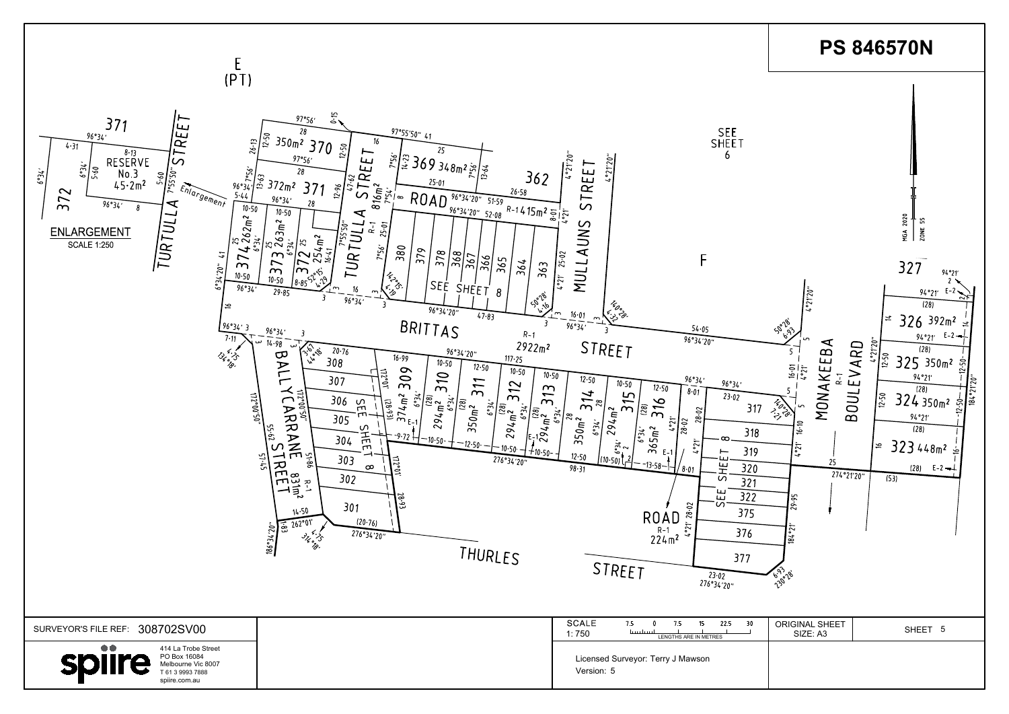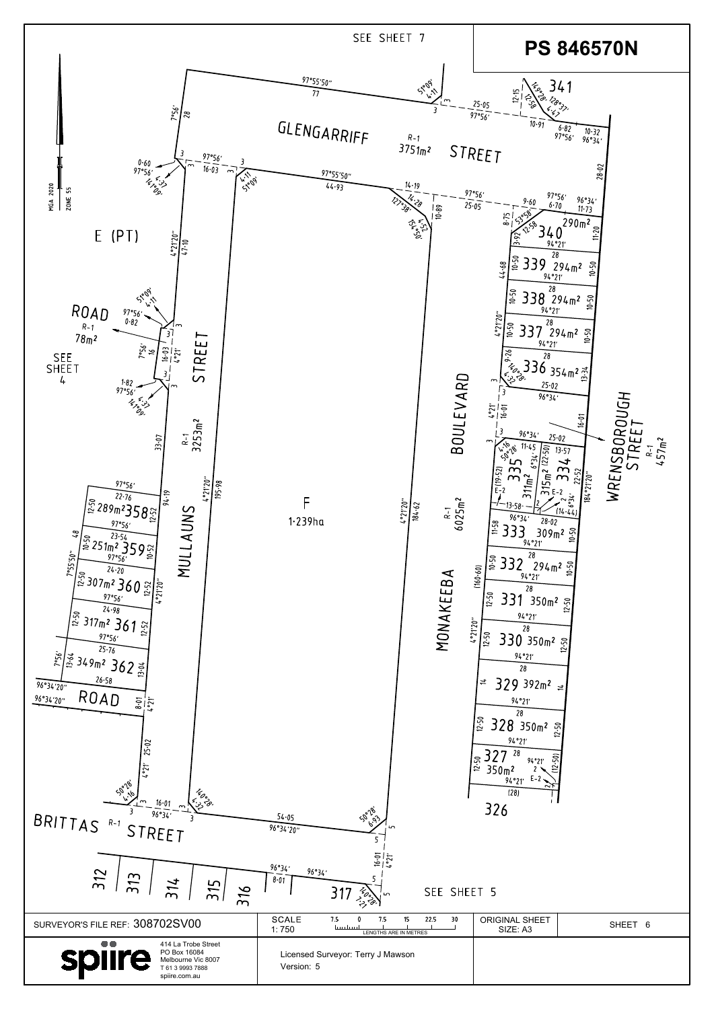| 25.02<br>$\frac{1}{2}$<br>50°28'<br><sup>14</sup> 0°<br><0°<br>16.01<br>96°34'<br>BRITTAS <sup>R-1</sup><br>STREET<br>312<br>313<br>314<br>315<br>316 | 50°28'<br>54.05<br>96°34'20"<br>$\frac{16.01}{10.91}$<br>96°34'<br>96°34'<br>8.01<br>SEE SHEET 5<br>317<br>$\frac{1}{2}$ $\left(\frac{1}{2}\right)$<br>Ln. | 28<br>$\frac{1}{2.50}$<br>328 350m2 의<br>94°21'<br>327<br>28<br>(12.50)<br>$\frac{12.50}{2}$<br>94°21'<br>350 <sub>m</sub><br>$E-2$<br>94°21'<br>ヘト<br>(28)<br>326 |
|-------------------------------------------------------------------------------------------------------------------------------------------------------|------------------------------------------------------------------------------------------------------------------------------------------------------------|--------------------------------------------------------------------------------------------------------------------------------------------------------------------|
| SURVEYOR'S FILE REF: 308702SV00                                                                                                                       | <b>SCALE</b><br>7.5<br>22.5<br>7.5<br>15<br>30<br>ليستلبسنا<br>1:750<br>LENGTHS ARE IN METRES                                                              | <b>ORIGINAL SHEET</b><br>SHEET 6<br>SIZE: A3                                                                                                                       |
| $\bullet\bullet$<br>414 La Trobe Street<br>PO Box 16084<br>Melbourne Vic 8007<br>T 61 3 9993 7888<br>spiire.com.au                                    | Licensed Surveyor: Terry J Mawson<br>Version: 5                                                                                                            |                                                                                                                                                                    |

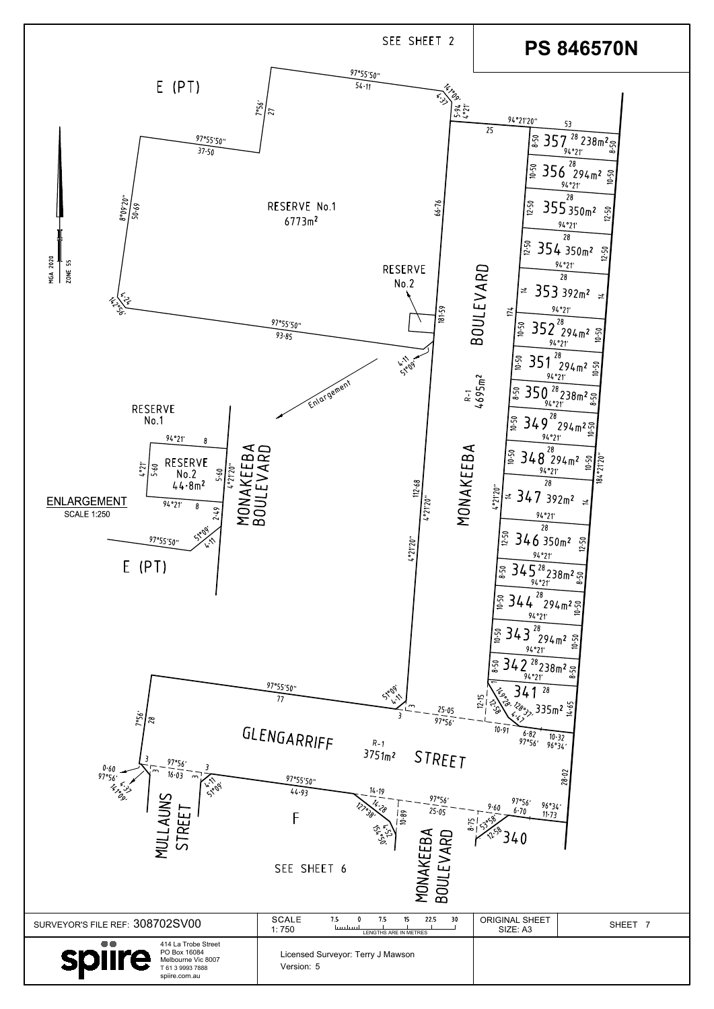| 97°56'<br>0.60<br>16.03<br>97°56'<br>$\sim$<br><b>1.1100</b><br>ڊن <sup>ء</sup> ُ پر <i>نا</i><br>روح<br>AUNS<br><b>REE</b><br>57<br>NUI | $\sim$ , $\sqrt{2}$<br>97°55'50"<br>14.19<br>44.93<br>97°56'<br>25.05<br>$\frac{1}{10.89}$<br>8.75<br>المبلج المجموعة<br>المبلغ<br>المريض<br>$\bf \alpha$<br>MONAKEEB,<br>BOULE VARI<br>⋖<br>SEE SHEET 6 | 28.02<br>97°56'<br>96°34'<br>9.60<br>$6 - 70$<br>$11 - 73$<br>i 4 U |
|------------------------------------------------------------------------------------------------------------------------------------------|----------------------------------------------------------------------------------------------------------------------------------------------------------------------------------------------------------|---------------------------------------------------------------------|
| SURVEYOR'S FILE REF: 308702SV00                                                                                                          | <b>SCALE</b><br>7.5<br>22.5<br>30<br>15<br>7.5<br>ليسلسينا<br>1:750<br>LENGTHS ARE IN METRES                                                                                                             | <b>ORIGINAL SHEET</b><br>SHEET 7<br>SIZE: A3                        |
| $\bullet\bullet$<br>414 La Trobe Street<br>PO Box 16084<br>spiire<br>Melbourne Vic 8007<br>T 61 3 9993 7888<br>spiire.com.au             | Licensed Surveyor: Terry J Mawson<br>Version: 5                                                                                                                                                          |                                                                     |

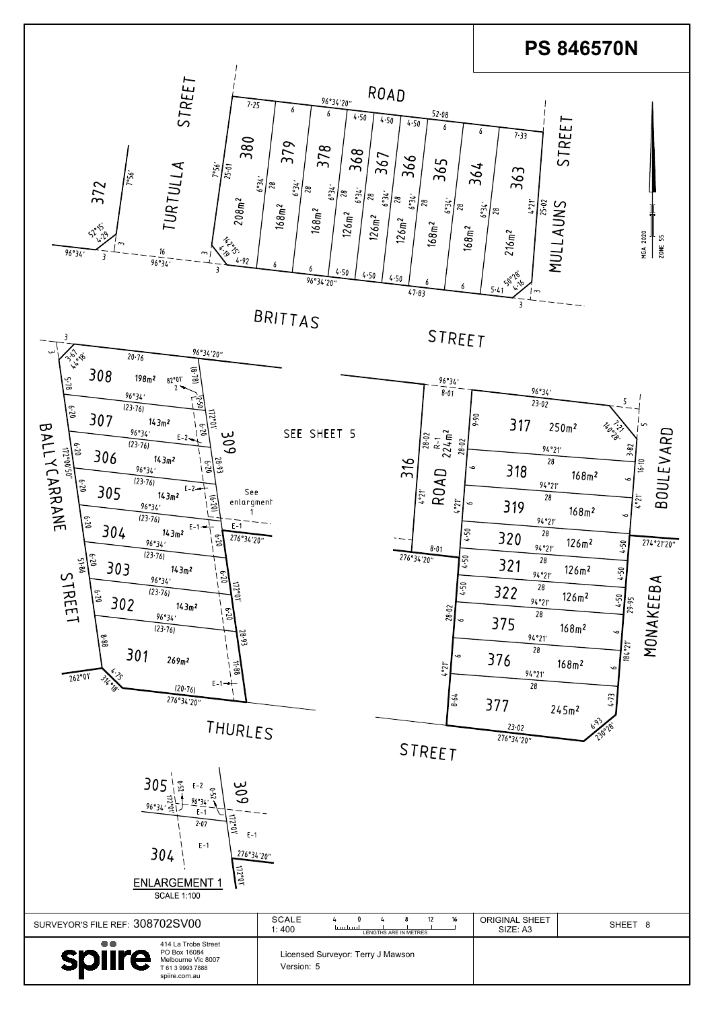| 305<br>چ<br>306<br>E-2<br>ە.<br>ش<br>ا <del>آءِ</del><br>-آهي، <sup>96</sup> °34<br>96°34<br>$E-1$<br>2.07<br>في ا<br>$E-1$<br>$E-1$<br>304<br>276°34'20"<br>$\frac{11}{2}$<br><b>ENLARGEMENT ^</b><br><b>SCALE 1:100</b> |                                                                           |                                   |         |
|---------------------------------------------------------------------------------------------------------------------------------------------------------------------------------------------------------------------------|---------------------------------------------------------------------------|-----------------------------------|---------|
| SURVEYOR'S FILE REF: 308702SV00                                                                                                                                                                                           | <b>SCALE</b><br>12<br>16<br>بيبيا يبينا<br>1:400<br>LENGTHS ARE IN METRES | <b>ORIGINAL SHEET</b><br>SIZE: A3 | SHEET 8 |
| $\bullet\bullet$<br>414 La Trobe Street<br>PO Box 16084<br>spiire<br>Melbourne Vic 8007<br>T 61 3 9993 7888<br>spiire.com.au                                                                                              | Licensed Surveyor: Terry J Mawson<br>Version: 5                           |                                   |         |

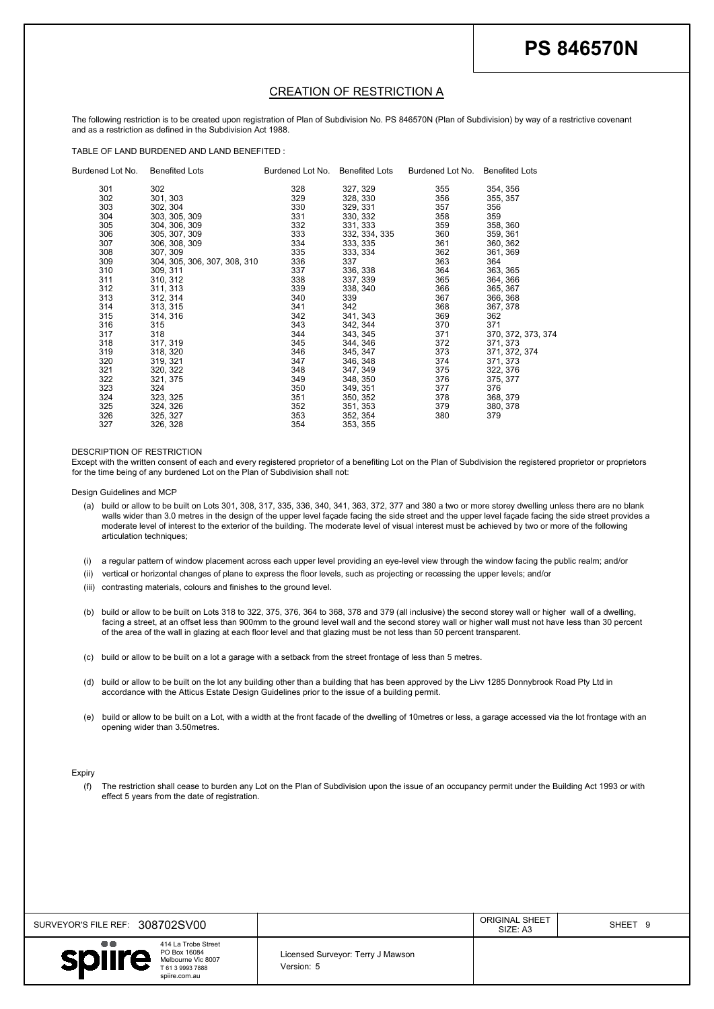| SURVEYOR'S FILE REF: 308702SV00                                                                                              |                                                 | <b>ORIGINAL SHEET</b><br>SIZE: A3 | SHEET <sub>9</sub> |
|------------------------------------------------------------------------------------------------------------------------------|-------------------------------------------------|-----------------------------------|--------------------|
| $\bullet\bullet$<br>414 La Trobe Street<br>PO Box 16084<br>spiire<br>Melbourne Vic 8007<br>T 61 3 9993 7888<br>spiire.com.au | Licensed Surveyor: Terry J Mawson<br>Version: 5 |                                   |                    |

|               |                           |                                                                                                                                                                                                   |                                        |                                       |                         | <b>PS 846570N</b>                                                                                                                                                                                                                                                                                                                                                                                                                                                        |
|---------------|---------------------------|---------------------------------------------------------------------------------------------------------------------------------------------------------------------------------------------------|----------------------------------------|---------------------------------------|-------------------------|--------------------------------------------------------------------------------------------------------------------------------------------------------------------------------------------------------------------------------------------------------------------------------------------------------------------------------------------------------------------------------------------------------------------------------------------------------------------------|
|               |                           |                                                                                                                                                                                                   |                                        |                                       |                         |                                                                                                                                                                                                                                                                                                                                                                                                                                                                          |
|               |                           |                                                                                                                                                                                                   |                                        | <b>CREATION OF RESTRICTION A</b>      |                         | The following restriction is to be created upon registration of Plan of Subdivision No. PS 846570N (Plan of Subdivision) by way of a restrictive covenant                                                                                                                                                                                                                                                                                                                |
|               |                           | and as a restriction as defined in the Subdivision Act 1988.<br>TABLE OF LAND BURDENED AND LAND BENEFITED :                                                                                       |                                        |                                       |                         |                                                                                                                                                                                                                                                                                                                                                                                                                                                                          |
|               | Burdened Lot No.<br>301   | <b>Benefited Lots</b><br>302                                                                                                                                                                      | Burdened Lot No. Benefited Lots<br>328 | 327, 329                              | Burdened Lot No.<br>355 | <b>Benefited Lots</b><br>354, 356                                                                                                                                                                                                                                                                                                                                                                                                                                        |
|               | 302<br>303<br>304         | 301, 303<br>302, 304<br>303, 305, 309                                                                                                                                                             | 329<br>330<br>331                      | 328, 330<br>329, 331<br>330, 332      | 356<br>357<br>358       | 355, 357<br>356<br>359                                                                                                                                                                                                                                                                                                                                                                                                                                                   |
|               | 305<br>306<br>307         | 304, 306, 309<br>305, 307, 309<br>306, 308, 309                                                                                                                                                   | 332<br>333<br>334                      | 331, 333<br>332, 334, 335<br>333, 335 | 359<br>360<br>361       | 358, 360<br>359, 361<br>360, 362                                                                                                                                                                                                                                                                                                                                                                                                                                         |
|               | 308<br>309<br>310         | 307, 309<br>304, 305, 306, 307, 308, 310<br>309, 311                                                                                                                                              | 335<br>336<br>337                      | 333, 334<br>337<br>336, 338           | 362<br>363<br>364       | 361, 369<br>364<br>363, 365                                                                                                                                                                                                                                                                                                                                                                                                                                              |
|               | 311<br>312<br>313         | 310, 312<br>311, 313<br>312, 314                                                                                                                                                                  | 338<br>339<br>340                      | 337, 339<br>338, 340<br>339           | 365<br>366<br>367       | 364, 366<br>365, 367<br>366, 368                                                                                                                                                                                                                                                                                                                                                                                                                                         |
|               | 314<br>315<br>316         | 313, 315<br>314, 316<br>315                                                                                                                                                                       | 341<br>342<br>343                      | 342<br>341, 343<br>342, 344           | 368<br>369<br>370       | 367, 378<br>362<br>371                                                                                                                                                                                                                                                                                                                                                                                                                                                   |
|               | 317<br>318<br>319         | 318<br>317, 319<br>318, 320                                                                                                                                                                       | 344<br>345<br>346                      | 343, 345<br>344, 346<br>345, 347      | 371<br>372<br>373       | 370, 372, 373, 374<br>371, 373<br>371, 372, 374                                                                                                                                                                                                                                                                                                                                                                                                                          |
|               | 320<br>321<br>322         | 319, 321<br>320, 322<br>321, 375                                                                                                                                                                  | 347<br>348<br>349                      | 346, 348<br>347, 349<br>348, 350      | 374<br>375<br>376       | 371, 373<br>322, 376<br>375, 377                                                                                                                                                                                                                                                                                                                                                                                                                                         |
|               | 323<br>324<br>325         | 324<br>323, 325<br>324, 326                                                                                                                                                                       | 350<br>351<br>352                      | 349, 351<br>350, 352<br>351, 353      | 377<br>378<br>379       | 376<br>368, 379<br>380, 378                                                                                                                                                                                                                                                                                                                                                                                                                                              |
|               | 326<br>327                | 325, 327<br>326, 328                                                                                                                                                                              | 353<br>354                             | 352, 354<br>353, 355                  | 380                     | 379                                                                                                                                                                                                                                                                                                                                                                                                                                                                      |
|               |                           | DESCRIPTION OF RESTRICTION                                                                                                                                                                        |                                        |                                       |                         | Except with the written consent of each and every registered proprietor of a benefiting Lot on the Plan of Subdivision the registered proprietor or proprietors                                                                                                                                                                                                                                                                                                          |
|               | Design Guidelines and MCP | for the time being of any burdened Lot on the Plan of Subdivision shall not:                                                                                                                      |                                        |                                       |                         |                                                                                                                                                                                                                                                                                                                                                                                                                                                                          |
|               |                           |                                                                                                                                                                                                   |                                        |                                       |                         | (a) build or allow to be built on Lots 301, 308, 317, 335, 336, 340, 341, 363, 372, 377 and 380 a two or more storey dwelling unless there are no blank<br>walls wider than 3.0 metres in the design of the upper level façade facing the side street and the upper level façade facing the side street provides a<br>moderate level of interest to the exterior of the building. The moderate level of visual interest must be achieved by two or more of the following |
| (i)           |                           | articulation techniques;                                                                                                                                                                          |                                        |                                       |                         | a regular pattern of window placement across each upper level providing an eye-level view through the window facing the public realm; and/or                                                                                                                                                                                                                                                                                                                             |
| (ii)<br>(iii) |                           | vertical or horizontal changes of plane to express the floor levels, such as projecting or recessing the upper levels; and/or<br>contrasting materials, colours and finishes to the ground level. |                                        |                                       |                         |                                                                                                                                                                                                                                                                                                                                                                                                                                                                          |
| (b)           |                           |                                                                                                                                                                                                   |                                        |                                       |                         | build or allow to be built on Lots 318 to 322, 375, 376, 364 to 368, 378 and 379 (all inclusive) the second storey wall or higher wall of a dwelling,                                                                                                                                                                                                                                                                                                                    |
|               |                           | of the area of the wall in glazing at each floor level and that glazing must be not less than 50 percent transparent.                                                                             |                                        |                                       |                         | facing a street, at an offset less than 900mm to the ground level wall and the second storey wall or higher wall must not have less than 30 percent                                                                                                                                                                                                                                                                                                                      |
| (c)           |                           | build or allow to be built on a lot a garage with a setback from the street frontage of less than 5 metres.                                                                                       |                                        |                                       |                         |                                                                                                                                                                                                                                                                                                                                                                                                                                                                          |
| (d)           |                           | accordance with the Atticus Estate Design Guidelines prior to the issue of a building permit.                                                                                                     |                                        |                                       |                         | build or allow to be built on the lot any building other than a building that has been approved by the Livv 1285 Donnybrook Road Pty Ltd in                                                                                                                                                                                                                                                                                                                              |
|               |                           | opening wider than 3.50metres.                                                                                                                                                                    |                                        |                                       |                         | build or allow to be built on a Lot, with a width at the front facade of the dwelling of 10metres or less, a garage accessed via the lot frontage with an                                                                                                                                                                                                                                                                                                                |
| (e)           |                           |                                                                                                                                                                                                   |                                        |                                       |                         |                                                                                                                                                                                                                                                                                                                                                                                                                                                                          |
| <b>Expiry</b> |                           |                                                                                                                                                                                                   |                                        |                                       |                         |                                                                                                                                                                                                                                                                                                                                                                                                                                                                          |

- 
- 
- 
- 
- 
- 
- 
-